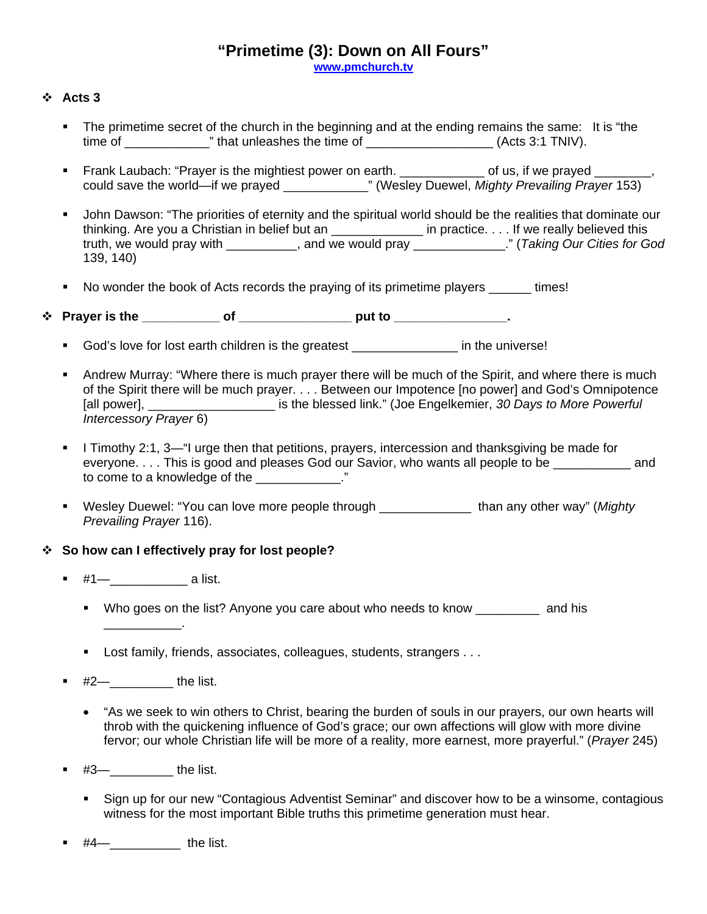## **"Primetime (3): Down on All Fours"**

**[www.pmchurch.tv](http://www.pmchurch.tv/)**

## **Acts 3**

- The primetime secret of the church in the beginning and at the ending remains the same: It is "the time of \_\_\_\_\_\_\_\_\_\_\_\_\_\_\_\_" that unleashes the time of \_\_\_\_\_\_\_\_\_\_\_\_\_\_\_\_\_\_\_(Acts 3:1 TNIV).
- Frank Laubach: "Prayer is the mightiest power on earth. \_\_\_\_\_\_\_\_\_\_\_\_\_ of us, if we prayed \_\_ could save the world—if we prayed \_\_\_\_\_\_\_\_\_\_\_\_" (Wesley Duewel, *Mighty Prevailing Prayer* 153)
- John Dawson: "The priorities of eternity and the spiritual world should be the realities that dominate our thinking. Are you a Christian in belief but an \_\_\_\_\_\_\_\_\_\_\_\_\_\_\_ in practice. . . . If we really believed this truth, we would pray with \_\_\_\_\_\_\_\_\_\_, and we would pray \_\_\_\_\_\_\_\_\_\_\_\_\_." (*Taking Our Cities for God*  139, 140)
- No wonder the book of Acts records the praying of its primetime players times!
- \* Prayer is the \_\_\_\_\_\_\_\_\_\_\_\_ of \_\_\_\_\_\_\_\_\_\_\_\_\_\_\_\_\_\_\_\_ put to \_\_\_\_\_\_\_\_\_\_\_\_\_\_\_\_\_\_.
	- God's love for lost earth children is the greatest **with a container in** the universe!
	- Andrew Murray: "Where there is much prayer there will be much of the Spirit, and where there is much of the Spirit there will be much prayer. . . . Between our Impotence [no power] and God's Omnipotence [all power], \_\_\_\_\_\_\_\_\_\_\_\_\_\_\_\_\_\_ is the blessed link." (Joe Engelkemier, *30 Days to More Powerful Intercessory Prayer* 6)
	- I Timothy 2:1, 3—"I urge then that petitions, prayers, intercession and thanksgiving be made for everyone. . . . This is good and pleases God our Savior, who wants all people to be  $\qquad \qquad$  and to come to a knowledge of the  $\sim$  ."
	- Wesley Duewel: "You can love more people through \_\_\_\_\_\_\_\_\_\_\_\_\_ than any other way" (*Mighty Prevailing Prayer* 116).

### **So how can I effectively pray for lost people?**

 $#1$ — a list.

\_\_\_\_\_\_\_\_\_\_\_.

- Who goes on the list? Anyone you care about who needs to know and his
- Lost family, friends, associates, colleagues, students, strangers . . .
- $#2$  the list.
	- "As we seek to win others to Christ, bearing the burden of souls in our prayers, our own hearts will throb with the quickening influence of God's grace; our own affections will glow with more divine fervor; our whole Christian life will be more of a reality, more earnest, more prayerful." (*Prayer* 245)
- #3—\_\_\_\_\_\_\_\_\_ the list.
	- Sign up for our new "Contagious Adventist Seminar" and discover how to be a winsome, contagious witness for the most important Bible truths this primetime generation must hear.
- #4—\_\_\_\_\_\_\_\_\_\_ the list.